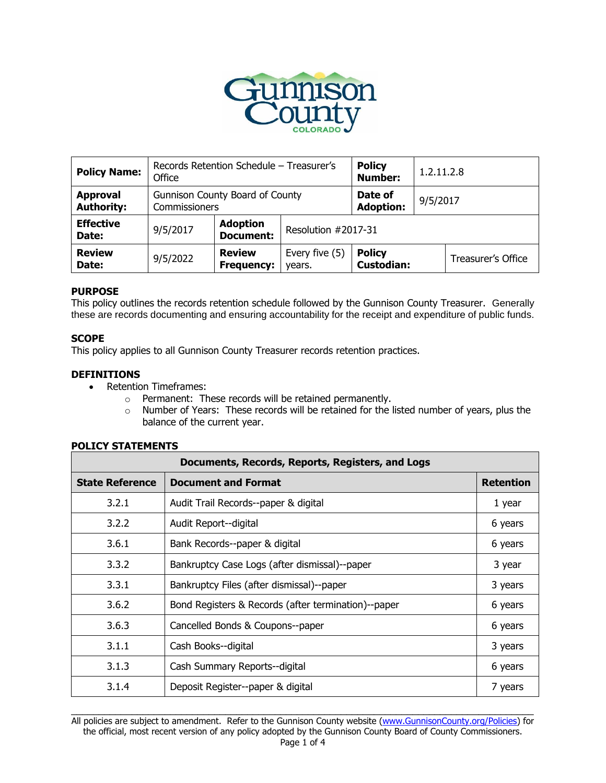

| <b>Policy Name:</b>                  | Records Retention Schedule - Treasurer's<br>Office |                                     |                          | <b>Policy</b><br><b>Number:</b>    | 1.2.11.2.8 |                    |
|--------------------------------------|----------------------------------------------------|-------------------------------------|--------------------------|------------------------------------|------------|--------------------|
| <b>Approval</b><br><b>Authority:</b> | Gunnison County Board of County<br>Commissioners   |                                     |                          | Date of<br><b>Adoption:</b>        | 9/5/2017   |                    |
| <b>Effective</b><br>Date:            | 9/5/2017                                           | <b>Adoption</b><br><b>Document:</b> | Resolution #2017-31      |                                    |            |                    |
| <b>Review</b><br>Date:               | 9/5/2022                                           | <b>Review</b><br><b>Frequency:</b>  | Every five (5)<br>years. | <b>Policy</b><br><b>Custodian:</b> |            | Treasurer's Office |

# **PURPOSE**

This policy outlines the records retention schedule followed by the Gunnison County Treasurer. Generally these are records documenting and ensuring accountability for the receipt and expenditure of public funds.

## **SCOPE**

This policy applies to all Gunnison County Treasurer records retention practices.

## **DEFINITIONS**

- Retention Timeframes:
	- o Permanent: These records will be retained permanently.
	- o Number of Years: These records will be retained for the listed number of years, plus the balance of the current year.

## **POLICY STATEMENTS**

| Documents, Records, Reports, Registers, and Logs |                                                     |                  |  |
|--------------------------------------------------|-----------------------------------------------------|------------------|--|
| <b>State Reference</b>                           | <b>Document and Format</b>                          | <b>Retention</b> |  |
| 3.2.1                                            | Audit Trail Records--paper & digital                | 1 year           |  |
| 3.2.2                                            | Audit Report--digital                               | 6 years          |  |
| 3.6.1                                            | Bank Records--paper & digital                       | 6 years          |  |
| 3.3.2                                            | Bankruptcy Case Logs (after dismissal)--paper       | 3 year           |  |
| 3.3.1                                            | Bankruptcy Files (after dismissal)--paper           | 3 years          |  |
| 3.6.2                                            | Bond Registers & Records (after termination)--paper | 6 years          |  |
| 3.6.3                                            | Cancelled Bonds & Coupons--paper                    | 6 years          |  |
| 3.1.1                                            | Cash Books--digital                                 | 3 years          |  |
| 3.1.3                                            | Cash Summary Reports--digital                       | 6 years          |  |
| 3.1.4                                            | Deposit Register--paper & digital                   | 7 years          |  |

 $\Box$ All policies are subject to amendment. Refer to the Gunnison County website [\(www.GunnisonCounty.org/Policies\)](http://www.gunnisoncounty.org/Policies) for the official, most recent version of any policy adopted by the Gunnison County Board of County Commissioners.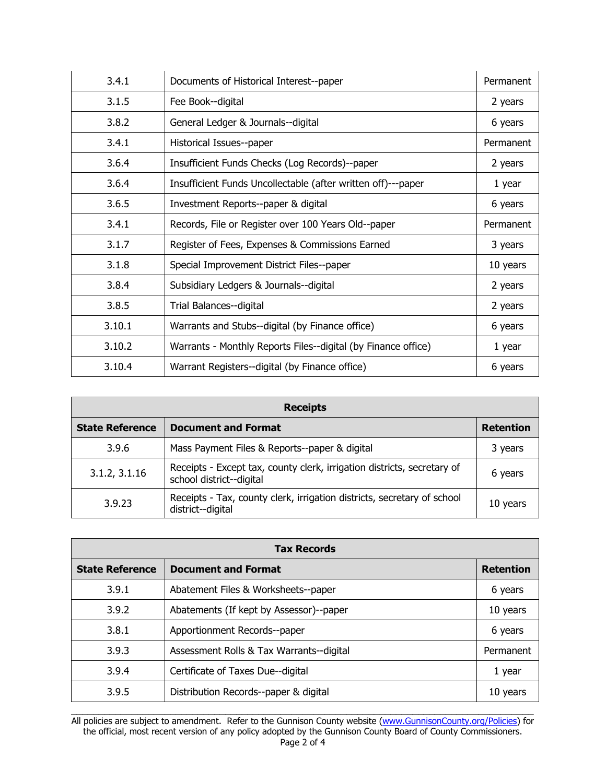| 3.4.1  | Documents of Historical Interest--paper                       | Permanent |
|--------|---------------------------------------------------------------|-----------|
| 3.1.5  | Fee Book--digital                                             | 2 years   |
| 3.8.2  | General Ledger & Journals--digital                            | 6 years   |
| 3.4.1  | Historical Issues--paper                                      | Permanent |
| 3.6.4  | Insufficient Funds Checks (Log Records)--paper                | 2 years   |
| 3.6.4  | Insufficient Funds Uncollectable (after written off)---paper  | 1 year    |
| 3.6.5  | Investment Reports--paper & digital                           | 6 years   |
| 3.4.1  | Records, File or Register over 100 Years Old--paper           | Permanent |
| 3.1.7  | Register of Fees, Expenses & Commissions Earned               | 3 years   |
| 3.1.8  | Special Improvement District Files--paper                     | 10 years  |
| 3.8.4  | Subsidiary Ledgers & Journals--digital                        | 2 years   |
| 3.8.5  | Trial Balances--digital                                       | 2 years   |
| 3.10.1 | Warrants and Stubs--digital (by Finance office)               | 6 years   |
| 3.10.2 | Warrants - Monthly Reports Files--digital (by Finance office) | 1 year    |
| 3.10.4 | Warrant Registers--digital (by Finance office)                | 6 years   |

| <b>Receipts</b>        |                                                                                                     |                  |  |
|------------------------|-----------------------------------------------------------------------------------------------------|------------------|--|
| <b>State Reference</b> | <b>Document and Format</b>                                                                          | <b>Retention</b> |  |
| 3.9.6                  | Mass Payment Files & Reports--paper & digital                                                       | 3 years          |  |
| 3.1.2, 3.1.16          | Receipts - Except tax, county clerk, irrigation districts, secretary of<br>school district--digital | 6 years          |  |
| 3.9.23                 | Receipts - Tax, county clerk, irrigation districts, secretary of school<br>district--digital        | 10 years         |  |

| <b>Tax Records</b>     |                                          |                  |  |
|------------------------|------------------------------------------|------------------|--|
| <b>State Reference</b> | <b>Document and Format</b>               | <b>Retention</b> |  |
| 3.9.1                  | Abatement Files & Worksheets--paper      | 6 years          |  |
| 3.9.2                  | Abatements (If kept by Assessor)--paper  | 10 years         |  |
| 3.8.1                  | Apportionment Records--paper             | 6 years          |  |
| 3.9.3                  | Assessment Rolls & Tax Warrants--digital | Permanent        |  |
| 3.9.4                  | Certificate of Taxes Due--digital        | 1 year           |  |
| 3.9.5                  | Distribution Records--paper & digital    | 10 years         |  |

 $\Box$ All policies are subject to amendment. Refer to the Gunnison County website [\(www.GunnisonCounty.org/Policies\)](http://www.gunnisoncounty.org/Policies) for the official, most recent version of any policy adopted by the Gunnison County Board of County Commissioners. Page 2 of 4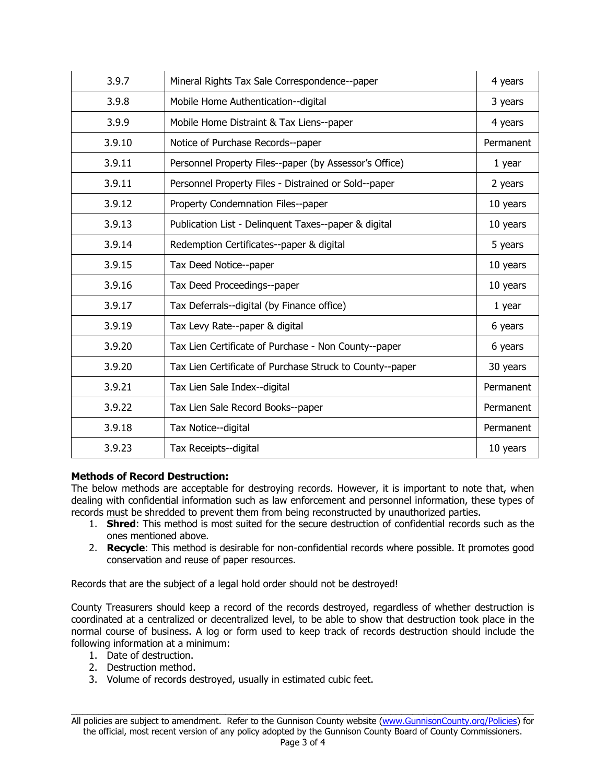| 3.9.7  | Mineral Rights Tax Sale Correspondence--paper            | 4 years   |
|--------|----------------------------------------------------------|-----------|
| 3.9.8  | Mobile Home Authentication--digital                      | 3 years   |
| 3.9.9  | Mobile Home Distraint & Tax Liens--paper                 | 4 years   |
| 3.9.10 | Notice of Purchase Records--paper                        | Permanent |
| 3.9.11 | Personnel Property Files--paper (by Assessor's Office)   | 1 year    |
| 3.9.11 | Personnel Property Files - Distrained or Sold--paper     | 2 years   |
| 3.9.12 | Property Condemnation Files--paper                       | 10 years  |
| 3.9.13 | Publication List - Delinquent Taxes--paper & digital     | 10 years  |
| 3.9.14 | Redemption Certificates--paper & digital                 | 5 years   |
| 3.9.15 | Tax Deed Notice--paper                                   | 10 years  |
| 3.9.16 | Tax Deed Proceedings--paper                              | 10 years  |
| 3.9.17 | Tax Deferrals--digital (by Finance office)               | 1 year    |
| 3.9.19 | Tax Levy Rate--paper & digital                           | 6 years   |
| 3.9.20 | Tax Lien Certificate of Purchase - Non County--paper     | 6 years   |
| 3.9.20 | Tax Lien Certificate of Purchase Struck to County--paper | 30 years  |
| 3.9.21 | Tax Lien Sale Index--digital                             | Permanent |
| 3.9.22 | Tax Lien Sale Record Books--paper                        | Permanent |
| 3.9.18 | Tax Notice--digital                                      | Permanent |
| 3.9.23 | Tax Receipts--digital                                    | 10 years  |

# **Methods of Record Destruction:**

The below methods are acceptable for destroying records. However, it is important to note that, when dealing with confidential information such as law enforcement and personnel information, these types of records must be shredded to prevent them from being reconstructed by unauthorized parties.

- 1. **Shred**: This method is most suited for the secure destruction of confidential records such as the ones mentioned above.
- 2. **Recycle**: This method is desirable for non-confidential records where possible. It promotes good conservation and reuse of paper resources.

Records that are the subject of a legal hold order should not be destroyed!

County Treasurers should keep a record of the records destroyed, regardless of whether destruction is coordinated at a centralized or decentralized level, to be able to show that destruction took place in the normal course of business. A log or form used to keep track of records destruction should include the following information at a minimum:

- 1. Date of destruction.
- 2. Destruction method.
- 3. Volume of records destroyed, usually in estimated cubic feet.

 $\Box$ All policies are subject to amendment. Refer to the Gunnison County website [\(www.GunnisonCounty.org/Policies\)](http://www.gunnisoncounty.org/Policies) for the official, most recent version of any policy adopted by the Gunnison County Board of County Commissioners.